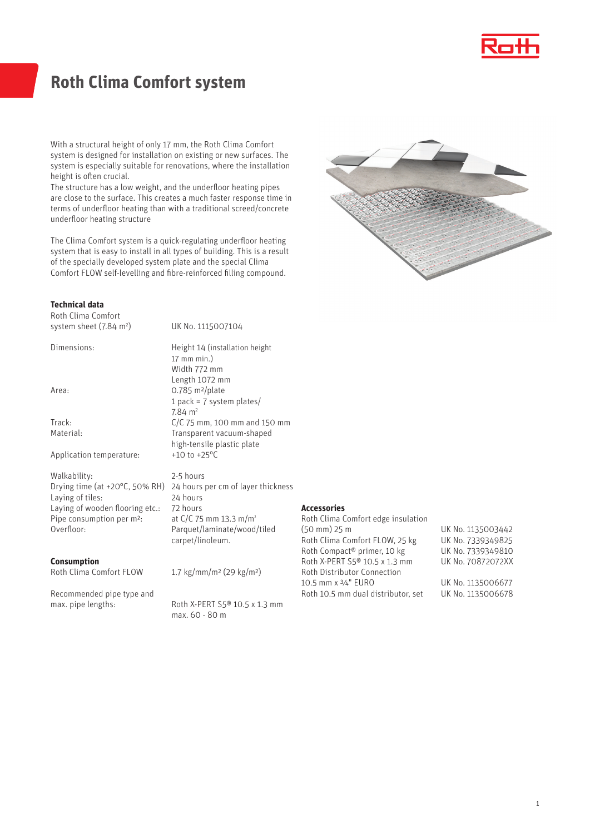

# **Roth Clima Comfort system**

With a structural height of only 17 mm, the Roth Clima Comfort system is designed for installation on existing or new surfaces. The system is especially suitable for renovations, where the installation height is often crucial.

The structure has a low weight, and the underfloor heating pipes are close to the surface. This creates a much faster response time in terms of underfloor heating than with a traditional screed/concrete underfloor heating structure

The Clima Comfort system is a quick-regulating underfloor heating system that is easy to install in all types of building. This is a result of the specially developed system plate and the special Clima Comfort FLOW self-levelling and fibre-reinforced filling compound.



### **Technical data**

Roth Clima Comfort system sheet (7.84 m<sup>2</sup>)

Dimensions: Height 14 (installation height

Area: 0.785 m<sup>2</sup>/plate

Track: C/C 75 mm, 100 mm and 150 mm

Application temperature:

Walkability: 2-5 hours Laying of tiles: 24 hours Laying of wooden flooring etc.: 72 hours Pipe consumption per m<sup>2</sup>: at C/C 75 mm 13.3 m/m<sup>2</sup><br>Overfloor: Parquet/laminate/wood.

### **Consumption**

Roth Clima Comfort FLOW 1.7 kg/mm/m² (29 kg/m²)

Recommended pipe type and

Material: Transparent vacuum-shaped high-tensile plastic plate<br>+10 to +25°C

1 pack = 7 system plates/

) UK No. 1115007104

17 mm min.) Width 772 mm Length 1072 mm

 $7.84 \text{ m}^2$ 

Drying time (at +20°C, 50% RH) 24 hours per cm of layer thickness Parquet/laminate/wood/tiled carpet/linoleum.

max. pipe lengths: Roth X-PERT S5<sup>®</sup> 10.5 x 1.3 mm max. 60 - 80 m

## **Accessories**

Roth Clima Comfort edge insulation<br>(50 mm) 25 m Roth Clima Comfort FLOW, 25 kg UK No. 7339349825 Roth Compact® primer, 10 kg UK No. 7339349810 Roth X-PERT S5® 10.5 x 1.3 mm UK No. 70872072XX Roth Distributor Connection 10.5 mm x 3/4" EURO UK No. 1135006677 Roth 10.5 mm dual distributor, set UK No. 1135006678

UK No. 1135003442